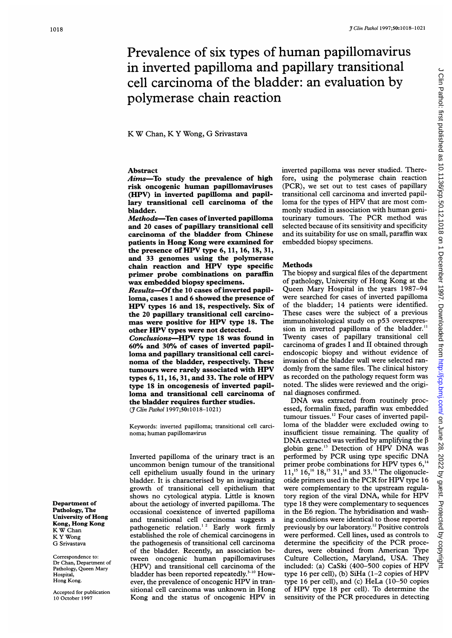# TClin Pathol 1997;50:1018-1021<br>
1Clin Pathol 1997;50:1018-1021<br>
in inverted papilloma and papillary transitional<br>
cell carcinoma of the bladder: an evaluation by<br>
polymerase chain reaction<br>
KW Chan, KY Wong, G Srivastava Prevalence of six types of human papillomavirus in inverted papilloma and papillary transitional cell carcinoma of the bladder: an evaluation by polymerase chain reaction

# K W Chan, K Y Wong, G Srivastava

# Abstract

Aims-To study the prevalence of high risk oncogenic human papillomaviruses (HPV) in inverted papilloma and papillary transitional cell carcinoma of the bladder.

Methods-Ten cases of inverted papilloma and 20 cases of papillary transitional cell carcinoma of the bladder from Chinese patients in Hong Kong were examined for the presence of HPV type 6, 11, 16, 18, 31, and 33 genomes using the polymerase chain reaction and HPV type specific primer probe combinations on paraffin wax embedded biopsy specimens. Results-Of the 10 cases of inverted papil-

loma, cases <sup>1</sup> and 6 showed the presence of HPV types <sup>16</sup> and 18, respectively. Six of the 20 papillary transitional cell carcinomas were positive for HPV type 18. The other HPV types were not detected. Conclusions-HPV type 18 was found in 60% and 30% of cases of inverted papilloma and papillary transitional cell carcinoma of the bladder, respectively. These tumours were rarely associated with HPV types 6, 11, 16, 31, and 33. The role of HPV type 18 in oncogenesis of inverted papilloma and transitional cell carcinoma of the bladder requires further studies. (J Clin Pathol 1997;50:1018-1021)

Keywords: inverted papilloma; transitional cell carcinoma; human papillomavirus

Inverted papilloma of the urinary tract is an uncommon benign tumour of the transitional cell epithelium usually found in the urinary bladder. It is characterised by an invaginating growth of transitional cell epithelium that shows no cytological atypia. Little is known about the aetiology of inverted papilloma. The occasional coexistence of inverted papilloma and transitional cell carcinoma suggests a pathogenetic relation.<sup>12</sup> Early work firmly established the role of chemical carcinogens in the pathogenesis of transitional cell carcinoma of the bladder. Recently, an association between oncogenic human papillomaviruses (HPV) and transitional cell carcinoma of the bladder has been reported repeatedly.<sup>3-10</sup> However, the prevalence of oncogenic HPV in transitional cell carcinoma was unknown in Hong Kong and the status of oncogenic HPV in inverted papilloma was never studied. Therefore, using the polymerase chain reaction (PCR), we set out to test cases of papillary transitional cell carcinoma and inverted papilloma for the types of HPV that are most commonly studied in association with human genitourinary tumours. The PCR method was selected because of its sensitivity and specificity and its suitability for use on small, paraffin wax embedded biopsy specimens.

## **Methods**

The biopsy and surgical files of the department of pathology, University of Hong Kong at the Queen Mary Hospital in the years 1987-94 were searched for cases of inverted papilloma of the bladder; 14 patients were identified. These cases were the subject of a previous immunohistological study on p53 overexpression in inverted papilloma of the bladder.<sup>11</sup> Twenty cases of papillary transitional cell carcinoma of grades <sup>I</sup> and II obtained through endoscopic biopsy and without evidence of invasion of the bladder wall were selected randomly from the same files. The clinical history as recorded on the pathology request form was noted. The slides were reviewed and the original diagnoses confirmed.

DNA was extracted from routinely processed, formalin fixed, paraffin wax embedded tumour tissues." Four cases of inverted papilloma of the bladder were excluded owing to insufficient tissue remaining. The quality of DNA extracted was verified by amplifying the  $\beta$ globin gene.'3 Detection of HPV DNA was performed by PCR using type specific DNA primer probe combinations for HPV types 6,<sup>14</sup>  $11<sub>1</sub><sup>15</sup> 16<sub>1</sub><sup>16</sup> 18<sub>1</sub><sup>15</sup> 31<sub>1</sub><sup>14</sup>$  and 33.<sup>14</sup> The oligonucleotide primers used in the PCR for HPV type <sup>16</sup> were complementary to the upstream regulatory region of the viral DNA, while for HPV type 18 they were complementary to sequences in the E6 region. The hybridisation and washing conditions were identical to those reported previously by our laboratory.'2 Positive controls were performed. Cell lines, used as controls to determine the specificity of the PCR procedures, were obtained from American Type Culture Collection, Maryland, USA. They included: (a) CaSki (400-500 copies of HPV type <sup>16</sup> per cell), (b) SiHa (1-2 copies of HPV type 16 per cell), and (c) HeLa (10-50 copies of HPV type <sup>18</sup> per cell). To determine the sensitivity of the PCR procedures in detecting

Department of Pathology, The University of Hong Kong, Hong Kong K W Chan K Y Wong G Srivastava

Correspondence to: Dr Chan, Department of Pathology, Queen Mary **Hospital** Hong Kong.

Accepted for publication 10 October 1997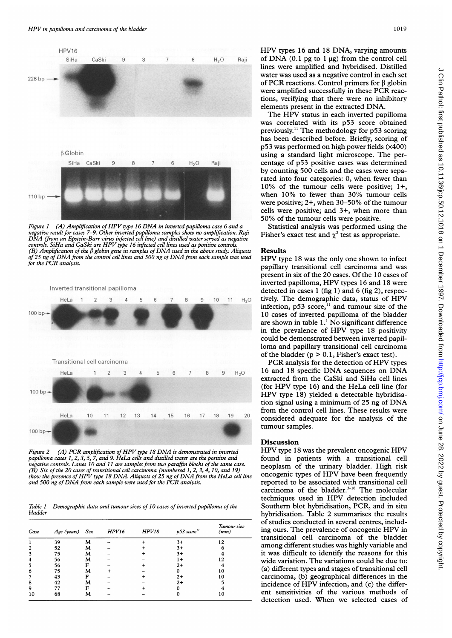

Figure 1  $(A)$  Amplification of HPV type 16 DNA in inverted papilloma case 6 and a negative result for cases 7-9. Other inverted papilloma samples sho DNA (from an Epstein-Barr virus infected cell line) and distilled water served as negative controls. SiHa and CaSki are HPV type 16 infected cell lines used as positive controls. (B) Amplification of the  $\beta$  globin gene in samples of DNA used in the above study. Aliquots Results of 25 ng of DNA from the control cell lines and 500 ng of DNA from each sample was used for the PCR analysis.



Figure <sup>2</sup> (A) PCR amplification of HPV type <sup>18</sup> DNA is dem papilloma cases 1, 2, 3, 5, 7, and 9. HeLa cells and distilled water negative controls. Lanes 10 and 11 are samples from two paraffin blocks of the same case. (B) Six of the 20 cases of transitional cell carcinoma (numbered  $1, 2, 3, 4, 10,$  and  $19$ ) show the presence of HPV type 18 DNA. Aliquots of 25 ng of DNA from the HeLa cell line and 500 ng of DNA from each sample were used for the PCR analysis.

Table 1 Demographic data and tumour sizes of 10 cases of inverted papilloma of the bladder

| Case | Age (years) Sex |   | HPV16 | HPV18 | $p53$ score <sup>11</sup> | Tumour size<br>(mm) |
|------|-----------------|---|-------|-------|---------------------------|---------------------|
|      | 39              | M |       |       | $3+$                      | 0 ו                 |
| 2    | 52              | м |       |       | $3+$                      |                     |
|      | 75              | м |       |       | 3+                        |                     |
|      | 56              | M |       |       | 1+                        | ♪                   |
|      | 56              | F |       |       | $^{2+}$                   |                     |
| 6    | 75              | м |       |       |                           | 10                  |
|      | 43              | F |       |       | $^{2+}$                   | 10                  |
| 8    | 42              | м |       |       | $2+$                      |                     |
| 9    |                 | F |       |       |                           |                     |
| 10   | 68              | м |       |       |                           | 10                  |

HPV types <sup>16</sup> and <sup>18</sup> DNA, varying amounts  $6$  H<sub>2</sub>O Raji of DNA (0.1 pg to 1 µg) from the control cell lines were amplified and hybridised. Distilled water was used as a negative control in each set of PCR reactions. Control primers for  $\beta$  globin were amplified successfully in these PCR reactions, verifying that there were no inhibitory elements present in the extracted DNA.

The HPV status in each inverted papilloma was correlated with its p53 score obtained previously." The methodology for p53 scoring has been described before. Briefly, scoring of p53 was performed on high power fields (x400) using a standard light microscope. The per-H<sub>2</sub>O Raji **centage of p53 positive cases was determined** by counting 500 cells and the cases were separated into four categories: 0, when fewer than 10% of the tumour cells were positive; 1+, when 10% to fewer than 30% tumour cells were positive; 2+, when 30-50% of the tumour cells were positive; and 3+, when more than 50% of the tumour cells were positive.

Statistical analysis was performed using the Fisher's exact test and  $\chi^2$  test as appropriate.

**Results**<br>HPV type 18 was the only one shown to infect papillary transitional cell carcinoma and was present in six of the 20 cases. Of the 10 cases of inverted papilloma, HPV types <sup>16</sup> and <sup>18</sup> were detected in cases <sup>1</sup> (fig 1) and 6 (fig 2), respec-9 10 11 H<sub>2</sub>O tively. The demographic data, status of HPV infection, p53 score," and tumour size of the 10 cases of inverted papilloma of the bladder are shown in table 1.' No significant difference in the prevalence of HPV type <sup>18</sup> positivity could be demonstrated between inverted papilloma and papillary transitional cell carcinoma of the bladder ( $p > 0.1$ , Fisher's exact test).

PCR analysis for the detection of HPV types  $7 \t 8 \t 9 \t H<sub>2</sub>$  16 and 18 specific DNA sequences on DNA extracted from the CaSki and SiHa cell lines (for HPV type 16) and the HeLa cell line (for HPV type 18) yielded <sup>a</sup> detectable hybridisation signal using <sup>a</sup> minimum of <sup>25</sup> ng of DNA from the control cell lines. These results were <sup>17</sup> 18 19 20 considered adequate for the analysis of the tumour samples.

# Discussion

HPV type 18 was the prevalent oncogenic HPV found in patients with a transitional cell neoplasm of the urinary bladder. High risk oncogenic types of HPV have been frequently reported to be associated with transitional cell carcinoma of the bladder.<sup>3-10</sup> The molecular techniques used in HPV detection included Southern blot hybridisation, PCR, and in situ hybridisation. Table 2 summarises the results of studies conducted in several centres, including ours. The prevalence of oncogenic HPV in transitional cell carcinoma of the bladder among different studies was highly variable and it was difficult to identify the reasons for this wide variation. The variations could be due to: <sup>10</sup> (a) different types and stages of transitional cell carcinoma, (b) geographical differences in the incidence of HPV infection, and (c) the different sensitivities of the various methods of detection used. When we selected cases of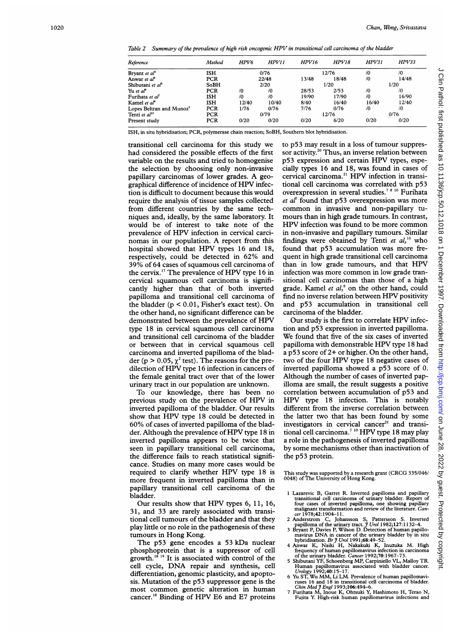Table <sup>2</sup> Summary of the prevalence of high risk oncogenic HPV in transitional cell carcinoma of the bladder

| Reference                            | Method     | HPV <sub>6</sub> | HPV11 | <b>HPV16</b> | HPV18 | HPV31      | HPV33      |
|--------------------------------------|------------|------------------|-------|--------------|-------|------------|------------|
| Bryant et al <sup>3</sup>            | <b>ISH</b> | 0/76             |       | 12/76        |       | $\sqrt{0}$ | $\sqrt{0}$ |
| Anwar et al <sup>4</sup>             | <b>PCR</b> |                  | 22/48 | 13/48        | 18/48 | /0         | 14/48      |
| Shibutani et al <sup>5</sup>         | SoBH       | 2/20             |       | 1/20         |       | 1/20       |            |
| Yu et al <sup>6</sup>                | PCR        | /0               | /0    | 28/53        | 2/53  | /0         | $\sqrt{0}$ |
| Furihata et al <sup>7</sup>          | <b>ISH</b> | /0               | /0    | 19/90        | 17/90 | /0         | 16/90      |
| Kamel et al <sup>8</sup>             | <b>ISH</b> | 12/40            | 10/40 | 8/40         | 16/40 | 16/40      | 12/40      |
| Lopes Beltran and Munoz <sup>9</sup> | <b>PCR</b> | 1/76             | 0/76  | 7/76         | 0/76  | $\sqrt{0}$ | /0         |
| Tenti et al <sup>10</sup>            | <b>PCR</b> | 0/79             |       | 12/76        |       | 0/76       |            |
| Present study                        | PCR        | 0/20             | 0/20  | 0/20         | 6/20  | 0/20       | 0/20       |

ISH, in situ hybridisation; PCR, polymerase chain reaction; SoBH, Southern blot hybridisation.

transitional cell carcinoma for this study we had considered the possible effects of the first variable on the results and tried to homogenise the selection by choosing only non-invasive papillary carcinomas of lower grades. A geographical difference of incidence of HPV infection is difficult to document because this would require the analysis of tissue samples collected from different countries by the same techniques and, ideally, by the same laboratory. It would be of interest to take note of the prevalence of HPV infection in cervical carcinomas in our population. A report from this hospital showed that HPV types <sup>16</sup> and 18, respectively, could be detected in 62% and 39% of 64 cases of squamous cell carcinoma of the cervix.'7 The prevalence of HPV type <sup>16</sup> in cervical squamous cell carcinoma is significantly higher than that of both inverted papilloma and transitional cell carcinoma of the bladder  $(p < 0.01$ , Fisher's exact test). On the other hand, no significant difference can be demonstrated between the prevalence of HPV type 18 in cervical squamous cell carcinoma and transitional cell carcinoma of the bladder or between that in cervical squamous cell carcinoma and inverted papilloma of the bladder (p > 0.05,  $\chi^2$  test). The reasons for the predilection of HPV type <sup>16</sup> infection in cancers of the female genital tract over that of the lower urinary tract in our population are unknown.

To our knowledge, there has been no previous study on the prevalence of HPV in inverted papilloma of the bladder. Our results show that HPV type <sup>18</sup> could be detected in 60% of cases of inverted papilloma of the bladder. Although the prevalence of HPV type <sup>18</sup> in inverted papilloma appears to be twice that seen in papillary transitional cell carcinoma, the difference fails to reach statistical significance. Studies on many more cases would be required to clarify whether HPV type <sup>18</sup> is more frequent in inverted papilloma than in papillary transitional cell carcinoma of the bladder.

Our results show that HPV types 6, 11, 16, 31, and 33 are rarely associated with transitional cell tumours of the bladder and that they play little or no role in the pathogenesis of these tumours in Hong Kong.

The p53 gene encodes <sup>a</sup> 53 kDa nuclear phosphoprotein that is a suppressor of cell growth.<sup>18 19</sup> It is associated with control of the cell cycle, DNA repair and synthesis, cell differentiation, genomic plasticity, and apoptosis. Mutation of the p53 suppressor gene is the most common genetic alteration in human cancer.'8 Binding of HPV E6 and E7 proteins

to p53 may result in <sup>a</sup> loss of tumour suppressor activity.<sup>20</sup> Thus, an inverse relation between p53 expression and certain HPV types, especially types 16 and 18, was found in cases of cervical carcinoma.<sup>21</sup> HPV infection in transitional cell carcinoma was correlated with p53 overexpression in several studies.<sup>78 10</sup> Furihata et  $a^{\dagger}$  found that p53 overexpression was more common in invasive and non-papillary tumours than in high grade tumours. In contrast, HPV infection was found to be more common in non-invasive and papillary tumours. Similar findings were obtained by Tenti et  $al$ ,<sup>10</sup> who found that p53 accumulation was more frequent in high grade transitional cell carcinoma than in low grade tumours, and that HPV infection was more common in low grade transitional cell carcinomas than those of a high grade. Kamel et  $al<sub>1</sub><sup>8</sup>$  on the other hand, could find no inverse relation between HPV positivity and p53 accumulation in transitional cell carcinoma of the bladder.

Our study is the first to correlate HPV infection and p53 expression in inverted papilloma. We found that five of the six cases of inverted papilloma with demonstrable HPV type <sup>18</sup> had <sup>a</sup> p53 score of 2+ or higher. On the other hand, two of the four HPV type <sup>18</sup> negative cases of inverted papilloma showed a p53 score of 0. Although the number of cases of inverted papilloma are small, the result suggests a positive correlation between accumulation of p53 and HPV type <sup>18</sup> infection. This is notably different from the inverse correlation between the latter two that has been found by some investigators in cervical cancer<sup>21</sup> and transitional cell carcinoma.<sup>7 10</sup> HPV type 18 may play a role in the pathogenesis of inverted papilloma by some mechanisms other than inactivation of the p53 protein.

This study was supported by <sup>a</sup> research grant (CRCG 335/046/ 0048) of The University of Hong Kong.

- 1 Lazarevic B, Garret R. Inverted papilloma and papillary<br>transitional cell carcinoma of urinary bladder. Report of<br>four cases of inverted papilloma, one showing papillary<br>malignant transformation and review of the literat cer 1978;42:1904-1 1.
- 2 Anderstrom C, Johansson S, Pattersson S. Inverted<br>1982;127:1132–4.<br>3 Bryant P, Davies P, Wilson D. Detection of human papillo-
- 
- mavirus DNA in cancer of the urinary bladder by in situ<br>hybridisation. Br J Urol 1991;68:49-52.<br>4 Anwar K, Naiki H, Nakakuki K, Inuzuka M. High<br>frequency of human papillomavirus infection in carcinoma<br>of the urinary bladde
- Human papillomavirus associated with bladder cancer.<br>Urology 1992;40:15–17.<br>6 Yu ST, Wu MM, Li LM. Prevalence of human papillomavi-
- ruses 16 and 18 in transitional cell carcinoma of bladder.<br>Chin Med J Engl 1993;106:494-6.<br>7 Furihata M, Inoue K, Ohtsuki Y, Hashimoto H, Terao N,
- Fujita Y. High-risk human papillomavirus infections and